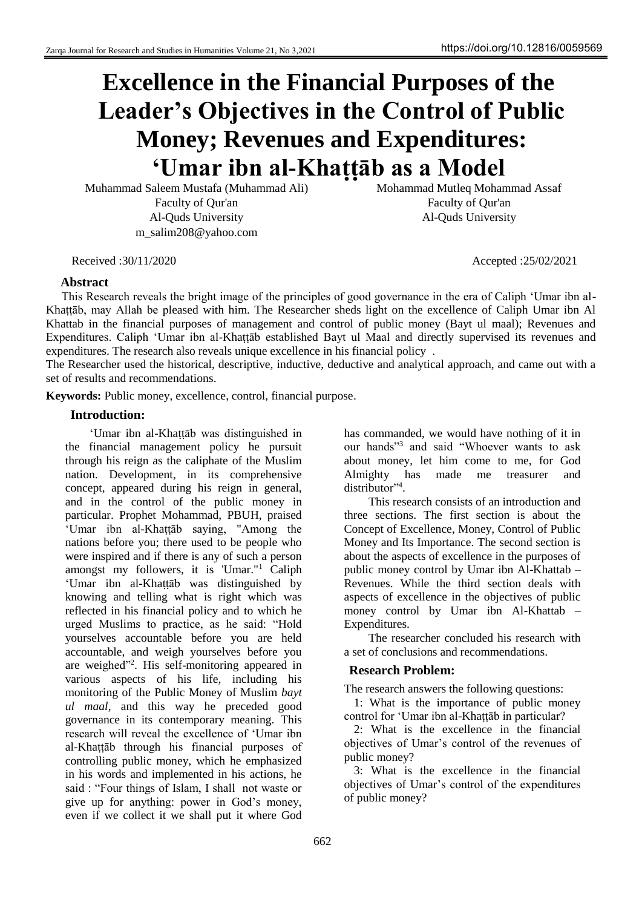# **Excellence in the Financial Purposes of the Leader's Objectives in the Control of Public Money; Revenues and Expenditures: ʻUmar ibn al-Khaṭṭāb as a Model**

Muhammad Saleem Mustafa (Muhammad Ali) Mohammad Mutleq Mohammad Assaf Faculty of Qur'an Faculty of Qur'an Al-Quds University Al-Quds University m\_salim208@yahoo.com

# **Abstract**

This Research reveals the bright image of the principles of good governance in the era of Caliph ʻUmar ibn al-Khaṭṭāb, may Allah be pleased with him. The Researcher sheds light on the excellence of Caliph Umar ibn Al Khattab in the financial purposes of management and control of public money (Bayt ul maal); Revenues and Expenditures. Caliph ʻUmar ibn al-Khaṭṭāb established Bayt ul Maal and directly supervised its revenues and expenditures. The research also reveals unique excellence in his financial policy .

The Researcher used the historical, descriptive, inductive, deductive and analytical approach, and came out with a set of results and recommendations.

**Keywords:** Public money, excellence, control, financial purpose.

#### **Introduction:**

ʻUmar ibn al-Khaṭṭāb was distinguished in the financial management policy he pursuit through his reign as the caliphate of the Muslim nation. Development, in its comprehensive concept, appeared during his reign in general, and in the control of the public money in particular. Prophet Mohammad, PBUH, praised ʻUmar ibn al-Khaṭṭāb saying, "Among the nations before you; there used to be people who were inspired and if there is any of such a person amongst my followers, it is 'Umar."<sup>1</sup> Caliph ʻUmar ibn al-Khaṭṭāb was distinguished by knowing and telling what is right which was reflected in his financial policy and to which he urged Muslims to practice, as he said: "Hold yourselves accountable before you are held accountable, and weigh yourselves before you are weighed"<sup>2</sup> . His self-monitoring appeared in various aspects of his life, including his monitoring of the Public Money of Muslim *bayt ul maal*, and this way he preceded good governance in its contemporary meaning. This research will reveal the excellence of ʻUmar ibn al-Khaṭṭāb through his financial purposes of controlling public money, which he emphasized in his words and implemented in his actions, he said : "Four things of Islam, I shall not waste or give up for anything: power in God's money, even if we collect it we shall put it where God

has commanded, we would have nothing of it in our hands"<sup>3</sup> and said "Whoever wants to ask about money, let him come to me, for God Almighty has made me treasurer and distributor"<sup>4</sup>.

This research consists of an introduction and three sections. The first section is about the Concept of Excellence, Money, Control of Public Money and Its Importance. The second section is about the aspects of excellence in the purposes of public money control by Umar ibn Al-Khattab – Revenues. While the third section deals with aspects of excellence in the objectives of public money control by Umar ibn Al-Khattab – Expenditures.

The researcher concluded his research with a set of conclusions and recommendations.

#### **Research Problem:**

The research answers the following questions:

1: What is the importance of public money control for ʻUmar ibn al-Khaṭṭāb in particular?

2: What is the excellence in the financial objectives of Umar's control of the revenues of public money?

3: What is the excellence in the financial objectives of Umar's control of the expenditures of public money?

Received :30/11/2020 Accepted :25/02/2021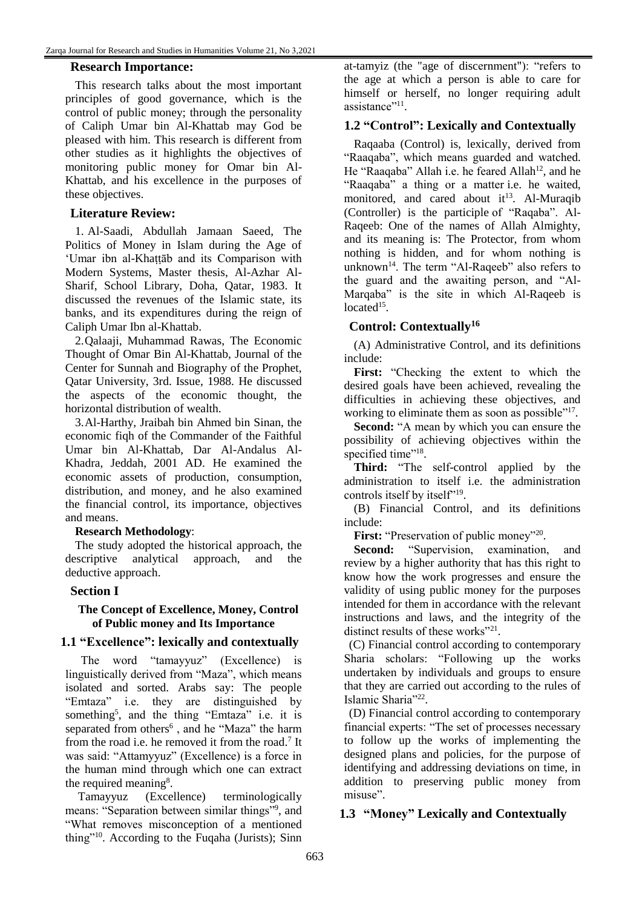#### **Research Importance:**

This research talks about the most important principles of good governance, which is the control of public money; through the personality of Caliph Umar bin Al-Khattab may God be pleased with him. This research is different from other studies as it highlights the objectives of monitoring public money for Omar bin Al-Khattab, and his excellence in the purposes of these objectives.

# **Literature Review:**

1. Al-Saadi, Abdullah Jamaan Saeed, The Politics of Money in Islam during the Age of ʻUmar ibn al-Khaṭṭāb and its Comparison with Modern Systems, Master thesis, Al-Azhar Al-Sharif, School Library, Doha, Qatar, 1983. It discussed the revenues of the Islamic state, its banks, and its expenditures during the reign of Caliph Umar Ibn al-Khattab.

2.Qalaaji, Muhammad Rawas, The Economic Thought of Omar Bin Al-Khattab, Journal of the Center for Sunnah and Biography of the Prophet, Qatar University, 3rd. Issue, 1988. He discussed the aspects of the economic thought, the horizontal distribution of wealth.

3.Al-Harthy, Jraibah bin Ahmed bin Sinan, the economic fiqh of the Commander of the Faithful Umar bin Al-Khattab, Dar Al-Andalus Al-Khadra, Jeddah, 2001 AD. He examined the economic assets of production, consumption, distribution, and money, and he also examined the financial control, its importance, objectives and means.

#### **Research Methodology**:

The study adopted the historical approach, the descriptive analytical approach, and the deductive approach.

#### **Section I**

#### **The Concept of Excellence, Money, Control of Public money and Its Importance**

#### **1.1 "Excellence": lexically and contextually**

The word "tamayyuz" (Excellence) is linguistically derived from "Maza", which means isolated and sorted. Arabs say: The people "Emtaza" i.e. they are distinguished by something<sup>5</sup>, and the thing "Emtaza" i.e. it is separated from others<sup>6</sup>, and he "Maza" the harm from the road i.e. he removed it from the road.<sup>7</sup> It was said: "Attamyyuz" (Excellence) is a force in the human mind through which one can extract the required meaning<sup>8</sup>.

Tamayyuz (Excellence) terminologically means: "Separation between similar things"<sup>9</sup> , and "What removes misconception of a mentioned thing"<sup>10</sup>. According to the Fuqaha (Jurists); Sinn

at-tamyiz (the "age of discernment"): "refers to the age at which a person is able to care for himself or herself, no longer requiring adult assistance"<sup>11</sup>.

# **1.2 "Control": Lexically and Contextually**

Raqaaba (Control) is, lexically, derived from "Raaqaba", which means guarded and watched. He "Raaqaba" Allah i.e. he feared Allah<sup>12</sup>, and he "Raaqaba" a thing or a matter i.e. he waited, monitored, and cared about  $it^{13}$ . Al-Muraqib (Controller) is the participle of "Raqaba". Al-Raqeeb: One of the names of Allah Almighty, and its meaning is: The Protector, from whom nothing is hidden, and for whom nothing is unknown<sup>14</sup>. The term "Al-Raqeeb" also refers to the guard and the awaiting person, and "Al-Marqaba" is the site in which Al-Raqeeb is  $located<sup>15</sup>$ .

# **Control: Contextually<sup>16</sup>**

(A) Administrative Control, and its definitions include:

**First:** "Checking the extent to which the desired goals have been achieved, revealing the difficulties in achieving these objectives, and working to eliminate them as soon as possible"<sup>17</sup>.

**Second:** "A mean by which you can ensure the possibility of achieving objectives within the specified time"<sup>18</sup>.

**Third:** "The self-control applied by the administration to itself i.e. the administration controls itself by itself"<sup>19</sup>.

(B) Financial Control, and its definitions include:

First: "Preservation of public money"<sup>20</sup>.

**Second:** "Supervision, examination, and review by a higher authority that has this right to know how the work progresses and ensure the validity of using public money for the purposes intended for them in accordance with the relevant instructions and laws, and the integrity of the distinct results of these works"<sup>21</sup>.

(C) Financial control according to contemporary Sharia scholars: "Following up the works undertaken by individuals and groups to ensure that they are carried out according to the rules of Islamic Sharia"<sup>22</sup>.

(D) Financial control according to contemporary financial experts: "The set of processes necessary to follow up the works of implementing the designed plans and policies, for the purpose of identifying and addressing deviations on time, in addition to preserving public money from misuse".

# **1.3 "Money" Lexically and Contextually**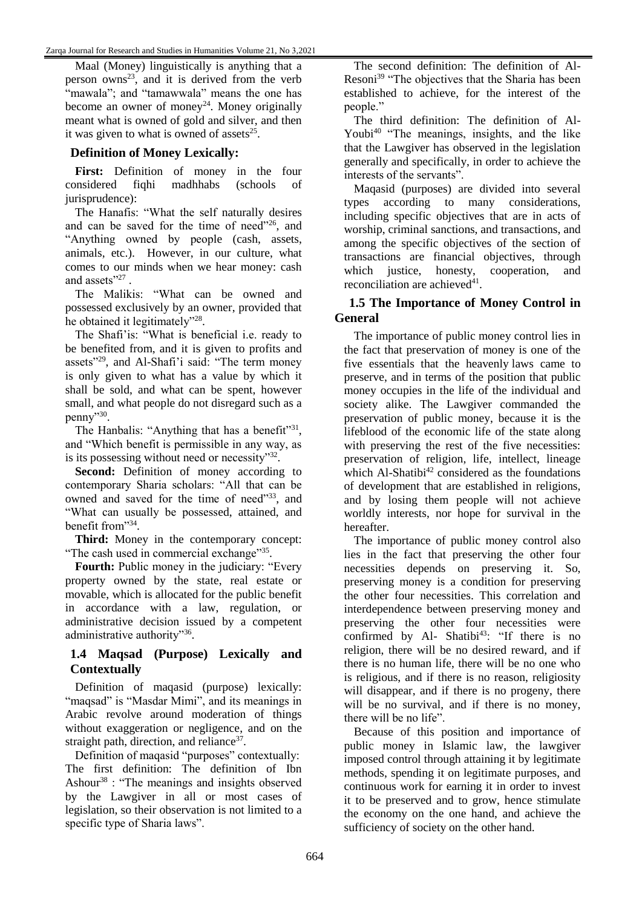Maal (Money) linguistically is anything that a person owns<sup>23</sup>, and it is derived from the verb "mawala"; and "tamawwala" means the one has become an owner of money<sup>24</sup>. Money originally meant what is owned of gold and silver, and then it was given to what is owned of assets $25$ .

# **Definition of Money Lexically:**

**First:** Definition of money in the four considered fiqhi madhhabs (schools of jurisprudence):

The Hanafis: "What the self naturally desires and can be saved for the time of need"<sup>26</sup>, and "Anything owned by people (cash, assets, animals, etc.). However, in our culture, what comes to our minds when we hear money: cash and assets"<sup>27</sup>.

The Malikis: "What can be owned and possessed exclusively by an owner, provided that he obtained it legitimately"<sup>28</sup>.

The Shafi'is: "What is beneficial i.e. ready to be benefited from, and it is given to profits and assets"<sup>29</sup>, and Al-Shafi'i said: "The term money is only given to what has a value by which it shall be sold, and what can be spent, however small, and what people do not disregard such as a penny"<sup>30</sup>.

The Hanbalis: "Anything that has a benefit"<sup>31</sup>, and "Which benefit is permissible in any way, as is its possessing without need or necessity"32.

**Second:** Definition of money according to contemporary Sharia scholars: "All that can be owned and saved for the time of need"33, and "What can usually be possessed, attained, and benefit from"<sup>34</sup> .

**Third:** Money in the contemporary concept: "The cash used in commercial exchange"35.

**Fourth:** Public money in the judiciary: "Every property owned by the state, real estate or movable, which is allocated for the public benefit in accordance with a law, regulation, or administrative decision issued by a competent administrative authority"36.

# **1.4 Maqsad (Purpose) Lexically and Contextually**

Definition of maqasid (purpose) lexically: "maqsad" is "Masdar Mimi", and its meanings in Arabic revolve around moderation of things without exaggeration or negligence, and on the straight path, direction, and reliance<sup>37</sup>.

Definition of maqasid "purposes" contextually: The first definition: The definition of Ibn Ashour<sup>38</sup> : "The meanings and insights observed by the Lawgiver in all or most cases of legislation, so their observation is not limited to a specific type of Sharia laws".

The second definition: The definition of Al-Resoni<sup>39</sup> "The objectives that the Sharia has been established to achieve, for the interest of the people."

The third definition: The definition of Al-Youbi<sup>40</sup> "The meanings, insights, and the like that the Lawgiver has observed in the legislation generally and specifically, in order to achieve the interests of the servants".

Maqasid (purposes) are divided into several types according to many considerations, including specific objectives that are in acts of worship, criminal sanctions, and transactions, and among the specific objectives of the section of transactions are financial objectives, through which justice, honesty, cooperation, and reconciliation are achieved<sup>41</sup>.

#### **1.5 The Importance of Money Control in General**

The importance of public money control lies in the fact that preservation of money is one of the five essentials that the heavenly laws came to preserve, and in terms of the position that public money occupies in the life of the individual and society alike. The Lawgiver commanded the preservation of public money, because it is the lifeblood of the economic life of the state along with preserving the rest of the five necessities: preservation of religion, life, intellect, lineage which Al-Shatibi $42$  considered as the foundations of development that are established in religions, and by losing them people will not achieve worldly interests, nor hope for survival in the hereafter.

The importance of public money control also lies in the fact that preserving the other four necessities depends on preserving it. So, preserving money is a condition for preserving the other four necessities. This correlation and interdependence between preserving money and preserving the other four necessities were confirmed by Al- Shatibi<sup>43</sup>: "If there is no religion, there will be no desired reward, and if there is no human life, there will be no one who is religious, and if there is no reason, religiosity will disappear, and if there is no progeny, there will be no survival, and if there is no money. there will be no life".

Because of this position and importance of public money in Islamic law, the lawgiver imposed control through attaining it by legitimate methods, spending it on legitimate purposes, and continuous work for earning it in order to invest it to be preserved and to grow, hence stimulate the economy on the one hand, and achieve the sufficiency of society on the other hand.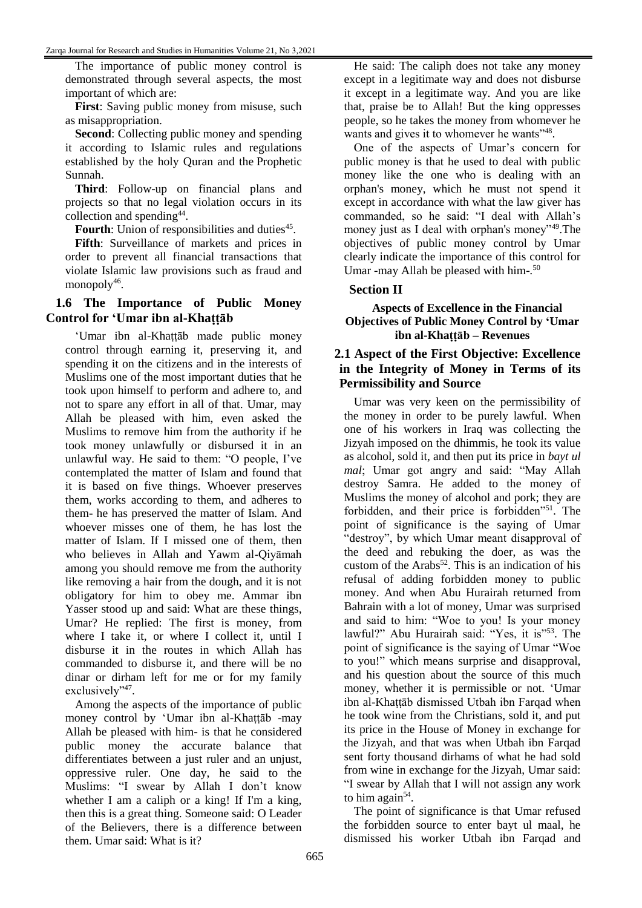The importance of public money control is demonstrated through several aspects, the most important of which are:

**First**: Saving public money from misuse, such as misappropriation.

**Second**: Collecting public money and spending it according to Islamic rules and regulations established by the holy Quran and the Prophetic Sunnah.

**Third**: Follow-up on financial plans and projects so that no legal violation occurs in its collection and spending<sup>44</sup>.

Fourth: Union of responsibilities and duties<sup>45</sup>.

**Fifth**: Surveillance of markets and prices in order to prevent all financial transactions that violate Islamic law provisions such as fraud and monopoly<sup>46</sup>.

#### **1.6 The Importance of Public Money Control for ʻUmar ibn al-Khaṭṭāb**

ʻUmar ibn al-Khaṭṭāb made public money control through earning it, preserving it, and spending it on the citizens and in the interests of Muslims one of the most important duties that he took upon himself to perform and adhere to, and not to spare any effort in all of that. Umar, may Allah be pleased with him, even asked the Muslims to remove him from the authority if he took money unlawfully or disbursed it in an unlawful way. He said to them: "O people, I've contemplated the matter of Islam and found that it is based on five things. Whoever preserves them, works according to them, and adheres to them- he has preserved the matter of Islam. And whoever misses one of them, he has lost the matter of Islam. If I missed one of them, then who believes in Allah and Yawm al-Qiyāmah among you should remove me from the authority like removing a hair from the dough, and it is not obligatory for him to obey me. Ammar ibn Yasser stood up and said: What are these things, Umar? He replied: The first is money, from where I take it, or where I collect it, until I disburse it in the routes in which Allah has commanded to disburse it, and there will be no dinar or dirham left for me or for my family exclusively"<sup>47</sup>.

Among the aspects of the importance of public money control by ʻUmar ibn al-Khaṭṭāb -may Allah be pleased with him- is that he considered public money the accurate balance that differentiates between a just ruler and an unjust, oppressive ruler. One day, he said to the Muslims: "I swear by Allah I don't know whether I am a caliph or a king! If I'm a king, then this is a great thing. Someone said: O Leader of the Believers, there is a difference between them. Umar said: What is it?

He said: The caliph does not take any money except in a legitimate way and does not disburse it except in a legitimate way. And you are like that, praise be to Allah! But the king oppresses people, so he takes the money from whomever he wants and gives it to whomever he wants"<sup>48</sup>.

One of the aspects of Umar's concern for public money is that he used to deal with public money like the one who is dealing with an orphan's money, which he must not spend it except in accordance with what the law giver has commanded, so he said: "I deal with Allah's money just as I deal with orphan's money"<sup>49</sup>. The objectives of public money control by Umar clearly indicate the importance of this control for Umar -may Allah be pleased with him-.<sup>50</sup>

#### **Section II**

#### **Aspects of Excellence in the Financial Objectives of Public Money Control by ʻUmar ibn al-Khaṭṭāb – Revenues**

#### **2.1 Aspect of the First Objective: Excellence in the Integrity of Money in Terms of its Permissibility and Source**

Umar was very keen on the permissibility of the money in order to be purely lawful. When one of his workers in Iraq was collecting the Jizyah imposed on the dhimmis, he took its value as alcohol, sold it, and then put its price in *bayt ul mal*; Umar got angry and said: "May Allah destroy Samra. He added to the money of Muslims the money of alcohol and pork; they are forbidden, and their price is forbidden"<sup>51</sup>. The point of significance is the saying of Umar "destroy", by which Umar meant disapproval of the deed and rebuking the doer, as was the custom of the Arabs<sup>52</sup>. This is an indication of his refusal of adding forbidden money to public money. And when Abu Hurairah returned from Bahrain with a lot of money, Umar was surprised and said to him: "Woe to you! Is your money lawful?" Abu Hurairah said: "Yes, it is"<sup>53</sup>. The point of significance is the saying of Umar "Woe to you!" which means surprise and disapproval, and his question about the source of this much money, whether it is permissible or not. ʻUmar ibn al-Khaṭṭāb dismissed Utbah ibn Farqad when he took wine from the Christians, sold it, and put its price in the House of Money in exchange for the Jizyah, and that was when Utbah ibn Farqad sent forty thousand dirhams of what he had sold from wine in exchange for the Jizyah, Umar said: "I swear by Allah that I will not assign any work to him again $54$ .

The point of significance is that Umar refused the forbidden source to enter bayt ul maal, he dismissed his worker Utbah ibn Farqad and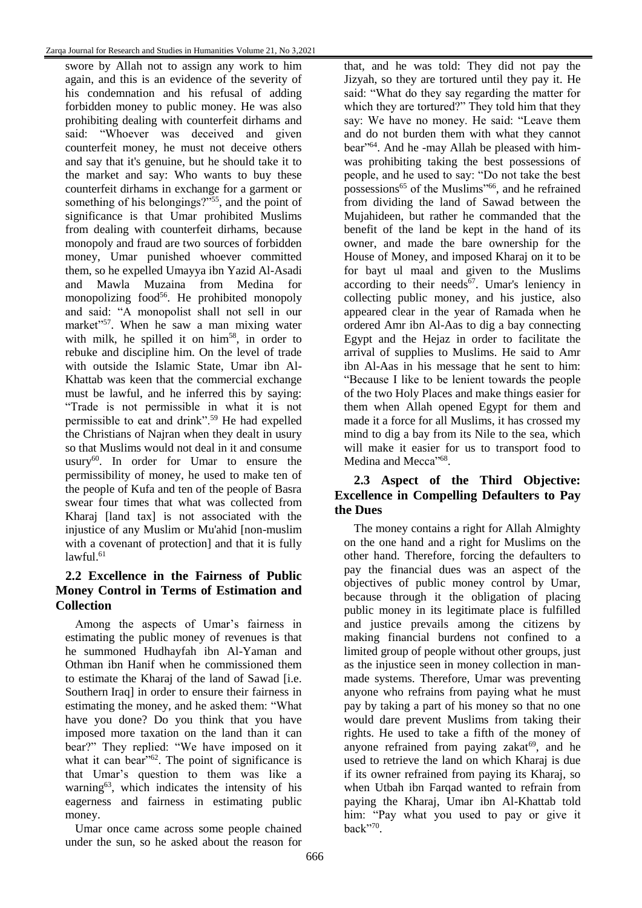swore by Allah not to assign any work to him again, and this is an evidence of the severity of his condemnation and his refusal of adding forbidden money to public money. He was also prohibiting dealing with counterfeit dirhams and said: "Whoever was deceived and given counterfeit money, he must not deceive others and say that it's genuine, but he should take it to the market and say: Who wants to buy these counterfeit dirhams in exchange for a garment or something of his belongings?"<sup>55</sup>, and the point of significance is that Umar prohibited Muslims from dealing with counterfeit dirhams, because monopoly and fraud are two sources of forbidden money, Umar punished whoever committed them, so he expelled Umayya ibn Yazid Al-Asadi and Mawla Muzaina from Medina for monopolizing food<sup>56</sup>. He prohibited monopoly and said: "A monopolist shall not sell in our market"<sup>57</sup>. When he saw a man mixing water with milk, he spilled it on him<sup>58</sup>, in order to rebuke and discipline him. On the level of trade with outside the Islamic State, Umar ibn Al-Khattab was keen that the commercial exchange must be lawful, and he inferred this by saying: "Trade is not permissible in what it is not permissible to eat and drink".<sup>59</sup> He had expelled the Christians of Najran when they dealt in usury so that Muslims would not deal in it and consume usury<sup>60</sup>. In order for Umar to ensure the permissibility of money, he used to make ten of the people of Kufa and ten of the people of Basra swear four times that what was collected from Kharaj [land tax] is not associated with the injustice of any Muslim or Mu'ahid [non-muslim with a covenant of protection] and that it is fully  $lawful.<sup>61</sup>$ 

# **2.2 Excellence in the Fairness of Public Money Control in Terms of Estimation and Collection**

Among the aspects of Umar's fairness in estimating the public money of revenues is that he summoned Hudhayfah ibn Al-Yaman and Othman ibn Hanif when he commissioned them to estimate the Kharaj of the land of Sawad [i.e. Southern Iraq] in order to ensure their fairness in estimating the money, and he asked them: "What have you done? Do you think that you have imposed more taxation on the land than it can bear?" They replied: "We have imposed on it what it can bear<sup> $162$ </sup>. The point of significance is that Umar's question to them was like a warning<sup>63</sup>, which indicates the intensity of his eagerness and fairness in estimating public money.

Umar once came across some people chained under the sun, so he asked about the reason for

that, and he was told: They did not pay the Jizyah, so they are tortured until they pay it. He said: "What do they say regarding the matter for which they are tortured?" They told him that they say: We have no money. He said: "Leave them and do not burden them with what they cannot bear"64. And he -may Allah be pleased with himwas prohibiting taking the best possessions of people, and he used to say: "Do not take the best possessions<sup>65</sup> of the Muslims<sup>766</sup>, and he refrained from dividing the land of Sawad between the Mujahideen, but rather he commanded that the benefit of the land be kept in the hand of its owner, and made the bare ownership for the House of Money, and imposed Kharaj on it to be for bayt ul maal and given to the Muslims according to their needs<sup>67</sup>. Umar's leniency in collecting public money, and his justice, also appeared clear in the year of Ramada when he ordered Amr ibn Al-Aas to dig a bay connecting Egypt and the Hejaz in order to facilitate the arrival of supplies to Muslims. He said to Amr ibn Al-Aas in his message that he sent to him: "Because I like to be lenient towards the people of the two Holy Places and make things easier for them when Allah opened Egypt for them and made it a force for all Muslims, it has crossed my mind to dig a bay from its Nile to the sea, which will make it easier for us to transport food to Medina and Mecca"68.

# **2.3 Aspect of the Third Objective: Excellence in Compelling Defaulters to Pay the Dues**

The money contains a right for Allah Almighty on the one hand and a right for Muslims on the other hand. Therefore, forcing the defaulters to pay the financial dues was an aspect of the objectives of public money control by Umar, because through it the obligation of placing public money in its legitimate place is fulfilled and justice prevails among the citizens by making financial burdens not confined to a limited group of people without other groups, just as the injustice seen in money collection in manmade systems. Therefore, Umar was preventing anyone who refrains from paying what he must pay by taking a part of his money so that no one would dare prevent Muslims from taking their rights. He used to take a fifth of the money of anyone refrained from paying zakat<sup>69</sup>, and he used to retrieve the land on which Kharaj is due if its owner refrained from paying its Kharaj, so when Utbah ibn Farqad wanted to refrain from paying the Kharaj, Umar ibn Al-Khattab told him: "Pay what you used to pay or give it back"<sup>70</sup> .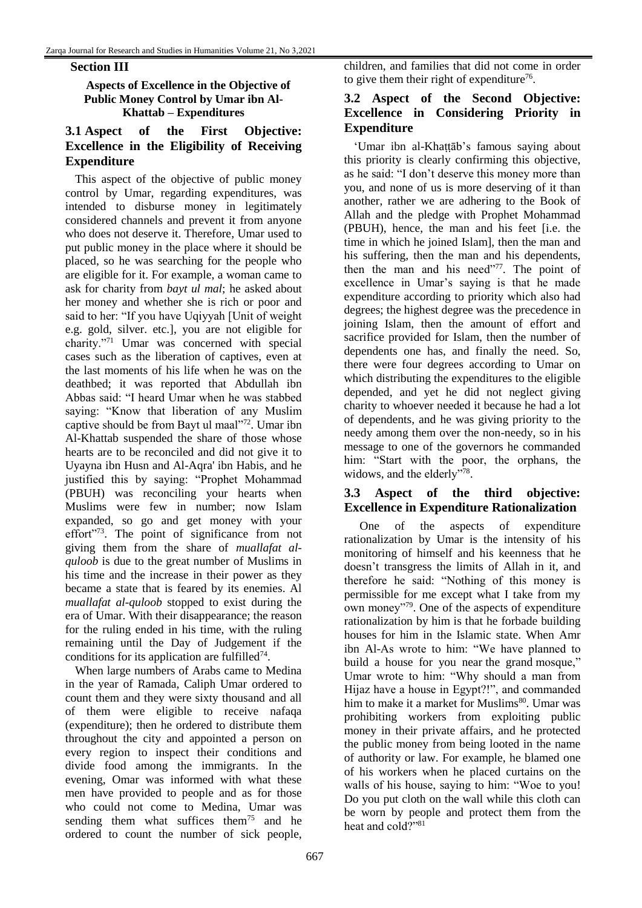#### **Section III**

#### **Aspects of Excellence in the Objective of Public Money Control by Umar ibn Al-Khattab – Expenditures**

# **3.1 Aspect of the First Objective: Excellence in the Eligibility of Receiving Expenditure**

This aspect of the objective of public money control by Umar, regarding expenditures, was intended to disburse money in legitimately considered channels and prevent it from anyone who does not deserve it. Therefore, Umar used to put public money in the place where it should be placed, so he was searching for the people who are eligible for it. For example, a woman came to ask for charity from *bayt ul mal*; he asked about her money and whether she is rich or poor and said to her: "If you have Uqiyyah [Unit of weight e.g. gold, silver. etc.], you are not eligible for charity."<sup>71</sup> Umar was concerned with special cases such as the liberation of captives, even at the last moments of his life when he was on the deathbed; it was reported that Abdullah ibn Abbas said: "I heard Umar when he was stabbed saying: "Know that liberation of any Muslim captive should be from Bayt ul maal"<sup>72</sup>. Umar ibn Al-Khattab suspended the share of those whose hearts are to be reconciled and did not give it to Uyayna ibn Husn and Al-Aqra' ibn Habis, and he justified this by saying: "Prophet Mohammad (PBUH) was reconciling your hearts when Muslims were few in number; now Islam expanded, so go and get money with your effort"<sup>73</sup>. The point of significance from not giving them from the share of *muallafat alquloob* is due to the great number of Muslims in his time and the increase in their power as they became a state that is feared by its enemies. Al *muallafat al-quloob* stopped to exist during the era of Umar. With their disappearance; the reason for the ruling ended in his time, with the ruling remaining until the Day of Judgement if the conditions for its application are fulfilled $74$ .

When large numbers of Arabs came to Medina in the year of Ramada, Caliph Umar ordered to count them and they were sixty thousand and all of them were eligible to receive nafaqa (expenditure); then he ordered to distribute them throughout the city and appointed a person on every region to inspect their conditions and divide food among the immigrants. In the evening, Omar was informed with what these men have provided to people and as for those who could not come to Medina, Umar was sending them what suffices them<sup>75</sup> and he ordered to count the number of sick people,

children, and families that did not come in order to give them their right of expenditure<sup>76</sup>.

# **3.2 Aspect of the Second Objective: Excellence in Considering Priority in Expenditure**

ʻUmar ibn al-Khaṭṭāb's famous saying about this priority is clearly confirming this objective, as he said: "I don't deserve this money more than you, and none of us is more deserving of it than another, rather we are adhering to the Book of Allah and the pledge with Prophet Mohammad (PBUH), hence, the man and his feet [i.e. the time in which he joined Islam], then the man and his suffering, then the man and his dependents, then the man and his need"77. The point of excellence in Umar's saying is that he made expenditure according to priority which also had degrees; the highest degree was the precedence in joining Islam, then the amount of effort and sacrifice provided for Islam, then the number of dependents one has, and finally the need. So, there were four degrees according to Umar on which distributing the expenditures to the eligible depended, and yet he did not neglect giving charity to whoever needed it because he had a lot of dependents, and he was giving priority to the needy among them over the non-needy, so in his message to one of the governors he commanded him: "Start with the poor, the orphans, the widows, and the elderly"78.

# **3.3 Aspect of the third objective: Excellence in Expenditure Rationalization**

One of the aspects of expenditure rationalization by Umar is the intensity of his monitoring of himself and his keenness that he doesn't transgress the limits of Allah in it, and therefore he said: "Nothing of this money is permissible for me except what I take from my own money"<sup>79</sup> . One of the aspects of expenditure rationalization by him is that he forbade building houses for him in the Islamic state. When Amr ibn Al-As wrote to him: "We have planned to build a house for you near the grand mosque," Umar wrote to him: "Why should a man from Hijaz have a house in Egypt?!", and commanded him to make it a market for Muslims<sup>80</sup>. Umar was prohibiting workers from exploiting public money in their private affairs, and he protected the public money from being looted in the name of authority or law. For example, he blamed one of his workers when he placed curtains on the walls of his house, saying to him: "Woe to you! Do you put cloth on the wall while this cloth can be worn by people and protect them from the heat and cold?"81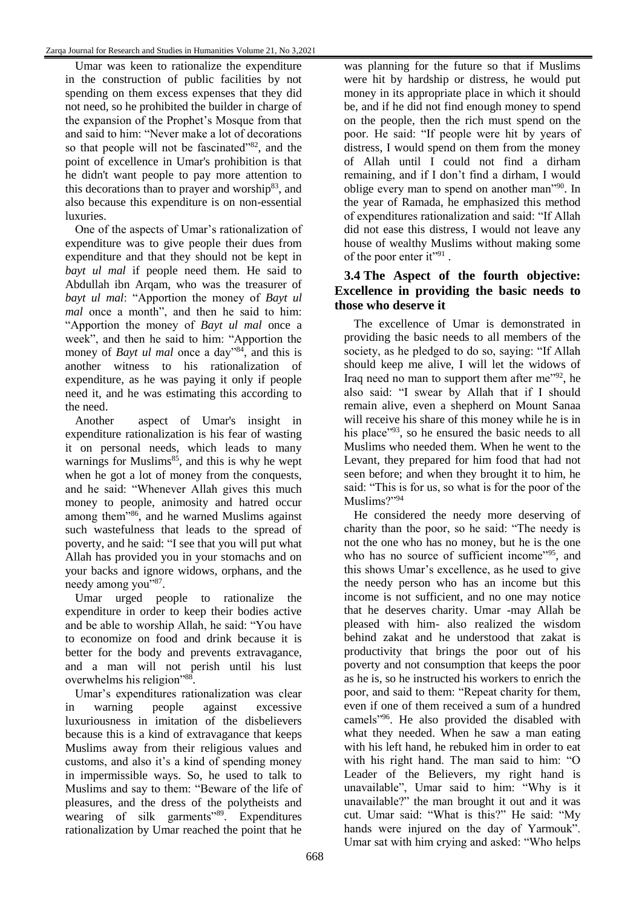Umar was keen to rationalize the expenditure in the construction of public facilities by not spending on them excess expenses that they did not need, so he prohibited the builder in charge of the expansion of the Prophet's Mosque from that and said to him: "Never make a lot of decorations so that people will not be fascinated"<sup>82</sup>, and the point of excellence in Umar's prohibition is that he didn't want people to pay more attention to this decorations than to prayer and worship $83$ , and also because this expenditure is on non-essential luxuries.

One of the aspects of Umar's rationalization of expenditure was to give people their dues from expenditure and that they should not be kept in *bayt ul mal* if people need them. He said to Abdullah ibn Arqam, who was the treasurer of *bayt ul mal*: "Apportion the money of *Bayt ul mal* once a month", and then he said to him: "Apportion the money of *Bayt ul mal* once a week", and then he said to him: "Apportion the money of *Bayt ul mal* once a day<sup>384</sup>, and this is another witness to his rationalization of expenditure, as he was paying it only if people need it, and he was estimating this according to the need.

Another aspect of Umar's insight in expenditure rationalization is his fear of wasting it on personal needs, which leads to many warnings for Muslims<sup>85</sup>, and this is why he wept when he got a lot of money from the conquests, and he said: "Whenever Allah gives this much money to people, animosity and hatred occur among them"<sup>86</sup>, and he warned Muslims against such wastefulness that leads to the spread of poverty, and he said: "I see that you will put what Allah has provided you in your stomachs and on your backs and ignore widows, orphans, and the needy among you"87.

Umar urged people to rationalize the expenditure in order to keep their bodies active and be able to worship Allah, he said: "You have to economize on food and drink because it is better for the body and prevents extravagance, and a man will not perish until his lust overwhelms his religion"88.

Umar's expenditures rationalization was clear in warning people against excessive luxuriousness in imitation of the disbelievers because this is a kind of extravagance that keeps Muslims away from their religious values and customs, and also it's a kind of spending money in impermissible ways. So, he used to talk to Muslims and say to them: "Beware of the life of pleasures, and the dress of the polytheists and wearing of silk garments<sup>"89</sup>. Expenditures rationalization by Umar reached the point that he

was planning for the future so that if Muslims were hit by hardship or distress, he would put money in its appropriate place in which it should be, and if he did not find enough money to spend on the people, then the rich must spend on the poor. He said: "If people were hit by years of distress, I would spend on them from the money of Allah until I could not find a dirham remaining, and if I don't find a dirham, I would oblige every man to spend on another man"<sup>90</sup>. In the year of Ramada, he emphasized this method of expenditures rationalization and said: "If Allah did not ease this distress, I would not leave any house of wealthy Muslims without making some of the poor enter it"91.

# **3.4 The Aspect of the fourth objective: Excellence in providing the basic needs to those who deserve it**

The excellence of Umar is demonstrated in providing the basic needs to all members of the society, as he pledged to do so, saying: "If Allah should keep me alive, I will let the widows of Iraq need no man to support them after me $\frac{1}{2}$ , he also said: "I swear by Allah that if I should remain alive, even a shepherd on Mount Sanaa will receive his share of this money while he is in his place<sup>"93</sup>, so he ensured the basic needs to all Muslims who needed them. When he went to the Levant, they prepared for him food that had not seen before; and when they brought it to him, he said: "This is for us, so what is for the poor of the Muslims?"<sup>94</sup>

He considered the needy more deserving of charity than the poor, so he said: "The needy is not the one who has no money, but he is the one who has no source of sufficient income"<sup>95</sup>, and this shows Umar's excellence, as he used to give the needy person who has an income but this income is not sufficient, and no one may notice that he deserves charity. Umar -may Allah be pleased with him- also realized the wisdom behind zakat and he understood that zakat is productivity that brings the poor out of his poverty and not consumption that keeps the poor as he is, so he instructed his workers to enrich the poor, and said to them: "Repeat charity for them, even if one of them received a sum of a hundred camels"<sup>96</sup>. He also provided the disabled with what they needed. When he saw a man eating with his left hand, he rebuked him in order to eat with his right hand. The man said to him: "O Leader of the Believers, my right hand is unavailable", Umar said to him: "Why is it unavailable?" the man brought it out and it was cut. Umar said: "What is this?" He said: "My hands were injured on the day of Yarmouk". Umar sat with him crying and asked: "Who helps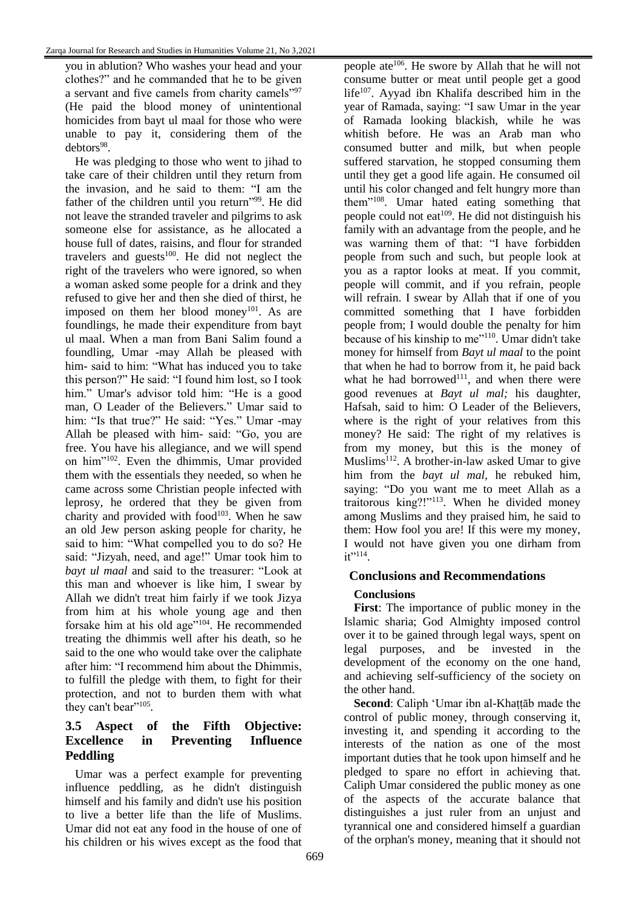you in ablution? Who washes your head and your clothes?" and he commanded that he to be given a servant and five camels from charity camels"<sup>97</sup> (He paid the blood money of unintentional homicides from bayt ul maal for those who were unable to pay it, considering them of the debtors<sup>98</sup>.

He was pledging to those who went to jihad to take care of their children until they return from the invasion, and he said to them: "I am the father of the children until you return"<sup>99</sup>. He did not leave the stranded traveler and pilgrims to ask someone else for assistance, as he allocated a house full of dates, raisins, and flour for stranded travelers and guests $100$ . He did not neglect the right of the travelers who were ignored, so when a woman asked some people for a drink and they refused to give her and then she died of thirst, he imposed on them her blood money<sup>101</sup>. As are foundlings, he made their expenditure from bayt ul maal. When a man from Bani Salim found a foundling, Umar -may Allah be pleased with him- said to him: "What has induced you to take this person?" He said: "I found him lost, so I took him." Umar's advisor told him: "He is a good man, O Leader of the Believers." Umar said to him: "Is that true?" He said: "Yes." Umar -may Allah be pleased with him- said: "Go, you are free. You have his allegiance, and we will spend on him"<sup>102</sup>. Even the dhimmis, Umar provided them with the essentials they needed, so when he came across some Christian people infected with leprosy, he ordered that they be given from charity and provided with food $103$ . When he saw an old Jew person asking people for charity, he said to him: "What compelled you to do so? He said: "Jizyah, need, and age!" Umar took him to *bayt ul maal* and said to the treasurer: "Look at this man and whoever is like him, I swear by Allah we didn't treat him fairly if we took Jizya from him at his whole young age and then forsake him at his old age"<sup>104</sup>. He recommended treating the dhimmis well after his death, so he said to the one who would take over the caliphate after him: "I recommend him about the Dhimmis, to fulfill the pledge with them, to fight for their protection, and not to burden them with what they can't bear"<sup>105</sup>.

# **3.5 Aspect of the Fifth Objective: Excellence in Preventing Influence Peddling**

Umar was a perfect example for preventing influence peddling, as he didn't distinguish himself and his family and didn't use his position to live a better life than the life of Muslims. Umar did not eat any food in the house of one of his children or his wives except as the food that

people ate<sup>106</sup>. He swore by Allah that he will not consume butter or meat until people get a good life $107$ . Ayyad ibn Khalifa described him in the year of Ramada, saying: "I saw Umar in the year of Ramada looking blackish, while he was whitish before. He was an Arab man who consumed butter and milk, but when people suffered starvation, he stopped consuming them until they get a good life again. He consumed oil until his color changed and felt hungry more than them"<sup>108</sup>. Umar hated eating something that people could not eat<sup> $109$ </sup>. He did not distinguish his family with an advantage from the people, and he was warning them of that: "I have forbidden people from such and such, but people look at you as a raptor looks at meat. If you commit, people will commit, and if you refrain, people will refrain. I swear by Allah that if one of you committed something that I have forbidden people from; I would double the penalty for him because of his kinship to me"<sup>110</sup>. Umar didn't take money for himself from *Bayt ul maal* to the point that when he had to borrow from it, he paid back what he had borrowed $111$ , and when there were good revenues at *Bayt ul mal;* his daughter, Hafsah, said to him: O Leader of the Believers, where is the right of your relatives from this money? He said: The right of my relatives is from my money, but this is the money of Muslims<sup>112</sup>. A brother-in-law asked Umar to give him from the *bayt ul mal,* he rebuked him, saying: "Do you want me to meet Allah as a traitorous king?!"<sup>113</sup>. When he divided money among Muslims and they praised him, he said to them: How fool you are! If this were my money, I would not have given you one dirham from  $it$ <sup> $114$ </sup>.

# **Conclusions and Recommendations**

# **Conclusions**

**First**: The importance of public money in the Islamic sharia; God Almighty imposed control over it to be gained through legal ways, spent on legal purposes, and be invested in the development of the economy on the one hand, and achieving self-sufficiency of the society on the other hand.

**Second**: Caliph ʻUmar ibn al-Khaṭṭāb made the control of public money, through conserving it, investing it, and spending it according to the interests of the nation as one of the most important duties that he took upon himself and he pledged to spare no effort in achieving that. Caliph Umar considered the public money as one of the aspects of the accurate balance that distinguishes a just ruler from an unjust and tyrannical one and considered himself a guardian of the orphan's money, meaning that it should not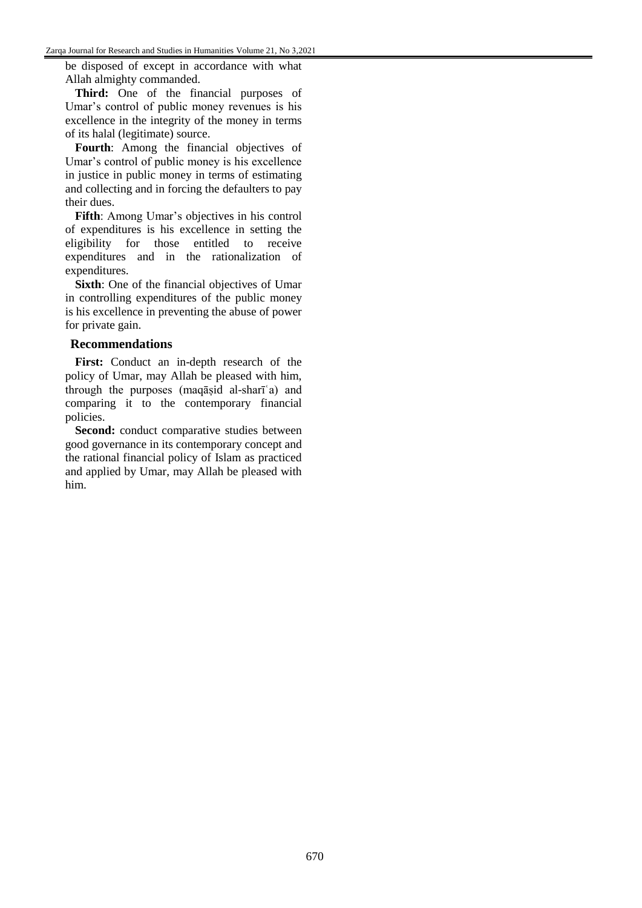be disposed of except in accordance with what Allah almighty commanded.

**Third:** One of the financial purposes of Umar's control of public money revenues is his excellence in the integrity of the money in terms of its halal (legitimate) source.

**Fourth**: Among the financial objectives of Umar's control of public money is his excellence in justice in public money in terms of estimating and collecting and in forcing the defaulters to pay their dues.

**Fifth**: Among Umar's objectives in his control of expenditures is his excellence in setting the eligibility for those entitled to receive expenditures and in the rationalization of expenditures.

**Sixth:** One of the financial objectives of Umar in controlling expenditures of the public money is his excellence in preventing the abuse of power for private gain.

#### **Recommendations**

**First:** Conduct an in-depth research of the policy of Umar, may Allah be pleased with him, through the purposes (maqāṣid al-sharīʿa) and comparing it to the contemporary financial policies.

**Second:** conduct comparative studies between good governance in its contemporary concept and the rational financial policy of Islam as practiced and applied by Umar, may Allah be pleased with him.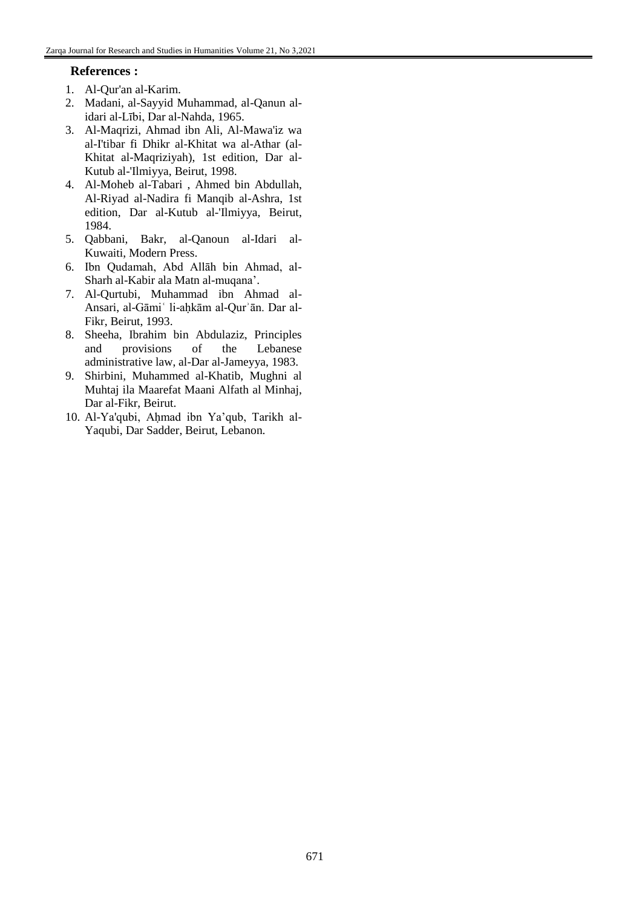#### **References :**

- 1. Al-Qur'an al-Karim.
- 2. Madani, al-Sayyid Muhammad, al-Qanun alidari al-Lībi, Dar al-Nahda, 1965.
- 3. Al-Maqrizi, Ahmad ibn Ali, Al-Mawa'iz wa al-I'tibar fi Dhikr al-Khitat wa al-Athar (al-Khitat al-Maqriziyah), 1st edition, Dar al-Kutub al-'Ilmiyya, Beirut, 1998.
- 4. Al-Moheb al-Tabari , Ahmed bin Abdullah, Al-Riyad al-Nadira fi Manqib al-Ashra, 1st edition, Dar al-Kutub al-'Ilmiyya, Beirut, 1984.
- 5. Qabbani, Bakr, al-Qanoun al-Idari al-Kuwaiti, Modern Press.
- 6. Ibn Qudamah, Abd Allāh bin Ahmad, al-Sharh al-Kabir ala Matn al-muqana'.
- 7. Al-Qurtubi, Muhammad ibn Ahmad al-Ansari, al-Gāmiʿ li-aḥkām al-Qurʾān. Dar al-Fikr, Beirut, 1993.
- 8. Sheeha, Ibrahim bin Abdulaziz, Principles and provisions of the Lebanese administrative law, al-Dar al-Jameyya, 1983.
- 9. Shirbini, Muhammed al-Khatib, Mughni al Muhtaj ila Maarefat Maani Alfath al Minhaj, Dar al-Fikr, Beirut.
- 10. Al-Ya'qubi, Aḥmad ibn Ya'qub, Tarikh al-Yaqubi, Dar Sadder, Beirut, Lebanon.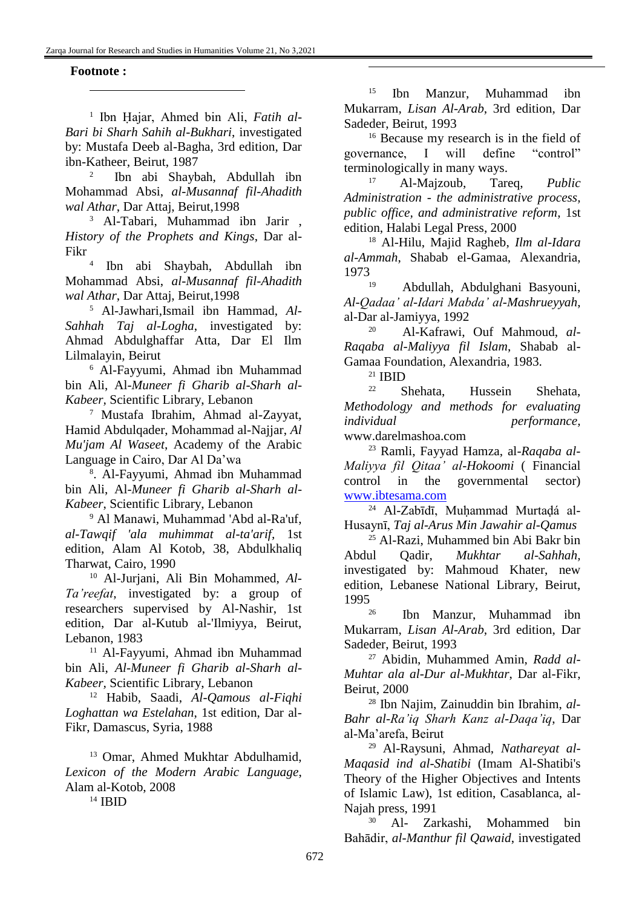#### **Footnote :**

l

1 Ibn Ḥajar, Ahmed bin Ali, *Fatih al-Bari bi Sharh Sahih al-Bukhari*, investigated by: Mustafa Deeb al-Bagha, 3rd edition, Dar ibn-Katheer, Beirut, 1987

2 Ibn abi Shaybah, Abdullah ibn Mohammad Absi, *al-Musannaf fil-Ahadith wal Athar*, Dar Attaj, Beirut,1998

<sup>3</sup> Al-Tabari, Muhammad ibn Jarir , *History of the Prophets and Kings*, Dar al-Fikr

4 Ibn abi Shaybah, Abdullah ibn Mohammad Absi, *al-Musannaf fil-Ahadith wal Athar*, Dar Attaj, Beirut,1998

<sup>5</sup> Al-Jawhari,Ismail ibn Hammad, *Al-Sahhah Taj al-Logha*, investigated by: Ahmad Abdulghaffar Atta, Dar El Ilm Lilmalayin, Beirut

<sup>6</sup> Al-Fayyumi, Ahmad ibn Muhammad bin Ali, Al*-Muneer fi Gharib al-Sharh al-Kabeer,* Scientific Library, Lebanon

<sup>7</sup> Mustafa Ibrahim, Ahmad al-Zayyat, Hamid Abdulqader, Mohammad al-Najjar, *Al Mu'jam Al Waseet*, Academy of the Arabic Language in Cairo, Dar Al Da'wa

8 . Al-Fayyumi, Ahmad ibn Muhammad bin Ali, Al*-Muneer fi Gharib al-Sharh al-Kabeer*, Scientific Library, Lebanon

<sup>9</sup> Al Manawi, Muhammad 'Abd al-Ra'uf, *al-Tawqif 'ala muhimmat al-ta'arif,* 1st edition, Alam Al Kotob, 38, Abdulkhaliq Tharwat, Cairo, 1990

<sup>10</sup> Al-Jurjani, Ali Bin Mohammed, *Al-Ta'reefat*, investigated by: a group of researchers supervised by Al-Nashir, 1st edition, Dar al-Kutub al-'Ilmiyya, Beirut, Lebanon, 1983

<sup>11</sup> Al-Fayyumi, Ahmad ibn Muhammad bin Ali, *Al-Muneer fi Gharib al-Sharh al-Kabeer,* Scientific Library, Lebanon

<sup>12</sup> Habib, Saadi, *Al-Qamous al-Fiqhi Loghattan wa Estelahan*, 1st edition, Dar al-Fikr, Damascus, Syria, 1988

<sup>13</sup> Omar, Ahmed Mukhtar Abdulhamid, *Lexicon of the Modern Arabic Language*, Alam al-Kotob, 2008

<sup>14</sup> IBID

<sup>15</sup> Ibn Manzur, Muhammad ibn Mukarram, *Lisan Al-Arab*, 3rd edition, Dar Sadeder, Beirut, 1993

<sup>16</sup> Because my research is in the field of governance, I will define "control" terminologically in many ways.

<sup>17</sup> Al-Majzoub, Tareq, *Public Administration - the administrative process, public office, and administrative reform*, 1st edition, Halabi Legal Press, 2000

<sup>18</sup> Al-Hilu, Majid Ragheb, *Ilm al-Idara al-Ammah*, Shabab el-Gamaa, Alexandria,  $1973$ 

<sup>19</sup> Abdullah, Abdulghani Basyouni, *Al-Qadaa' al-Idari Mabda' al-Mashrueyyah*, al-Dar al-Jamiyya, 1992

<sup>20</sup> Al-Kafrawi, Ouf Mahmoud, *al-Raqaba al-Maliyya fil Islam*, Shabab al-Gamaa Foundation, Alexandria, 1983.

 $^{21}_{22}$  IBID

<u>.</u>

<sup>22</sup> Shehata, Hussein Shehata, *Methodology and methods for evaluating individual performance,* www.darelmashoa.com

<sup>23</sup> Ramli, Fayyad Hamza, al*-Raqaba al-Maliyya fil Qitaa' al-Hokoomi* ( Financial control in the governmental sector) [www.ibtesama.com](http://www.ibtesama.com/)

<sup>24</sup> Al-Zabīdī, Muhammad Murtadá al-Husaynī, *Taj al-Arus Min Jawahir al-Qamus*

<sup>25</sup> Al-Razi, Muhammed bin Abi Bakr bin Abdul Qadir, *Mukhtar al-Sahhah,* investigated by: Mahmoud Khater, new edition, Lebanese National Library, Beirut, 1995

<sup>26</sup> Ibn Manzur, Muhammad ibn Mukarram, *Lisan Al-Arab*, 3rd edition, Dar Sadeder, Beirut, 1993

<sup>27</sup> Abidin, Muhammed Amin, *Radd al-Muhtar ala al-Dur al-Mukhtar*, Dar al-Fikr, Beirut, 2000

<sup>28</sup> Ibn Najim, Zainuddin bin Ibrahim, *al-Bahr al-Ra'iq Sharh Kanz al-Daqa'iq*, Dar al-Ma'arefa, Beirut

<sup>29</sup> Al-Raysuni, Ahmad, *Nathareyat al-Maqasid ind al-Shatibi* (Imam Al-Shatibi's Theory of the Higher Objectives and Intents of Islamic Law), 1st edition, Casablanca, al-Najah press, 1991

<sup>30</sup> Al- Zarkashi, Mohammed bin Bahādir, *al-Manthur fil Qawaid*, investigated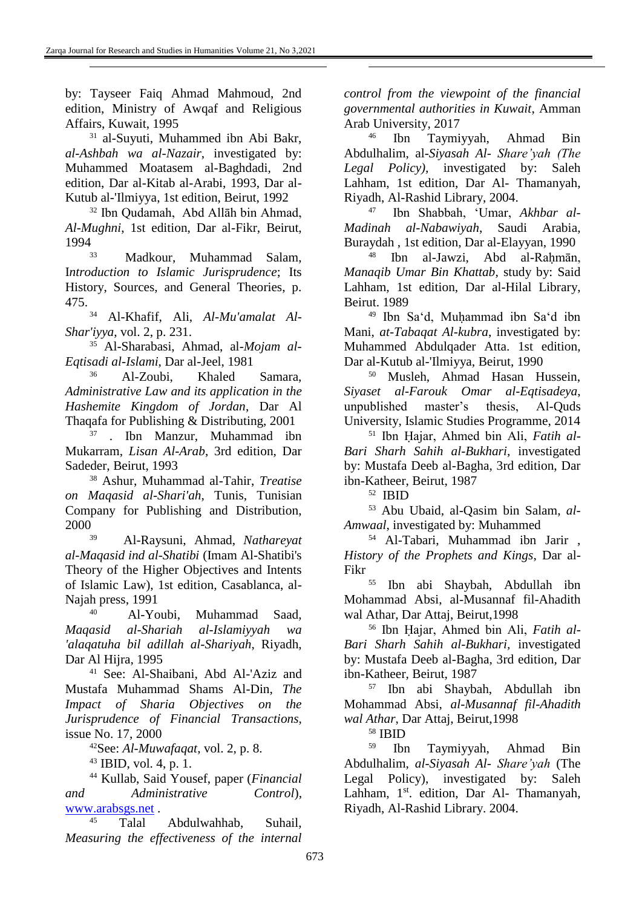<u>.</u>

by: Tayseer Faiq Ahmad Mahmoud, 2nd edition, Ministry of Awqaf and Religious Affairs, Kuwait, 1995

<sup>31</sup> al-Suyuti, Muhammed ibn Abi Bakr, *al-Ashbah wa al-Nazair*, investigated by: Muhammed Moatasem al-Baghdadi, 2nd edition, Dar al-Kitab al-Arabi, 1993, Dar al-Kutub al-'Ilmiyya, 1st edition, Beirut, 1992

<sup>32</sup> Ibn Qudamah, Abd Allāh bin Ahmad, *Al-Mughni*, 1st edition, Dar al-Fikr, Beirut, 1994

33 Madkour, Muhammad Salam, I*ntroduction to Islamic Jurisprudence*; Its History, Sources, and General Theories, p. 475.

<sup>34</sup> Al-Khafif, Ali, *Al-Mu'amalat Al-Shar'iyya*, vol. 2, p. 231.

<sup>35</sup> Al-Sharabasi, Ahmad, al*-Mojam al-Eqtisadi al-Islami*, Dar al-Jeel, 1981

<sup>36</sup> Al-Zoubi, Khaled Samara, *Administrative Law and its application in the Hashemite Kingdom of Jordan*, Dar Al Thaqafa for Publishing & Distributing, 2001

<sup>37</sup> . Ibn Manzur, Muhammad ibn Mukarram, *Lisan Al-Arab*, 3rd edition, Dar Sadeder, Beirut, 1993

<sup>38</sup> Ashur, Muhammad al-Tahir, *Treatise on Maqasid al-Shari'ah*, Tunis, Tunisian Company for Publishing and Distribution,  $2000$ <sub>39</sub>

<sup>39</sup> Al-Raysuni, Ahmad, *Nathareyat al-Maqasid ind al-Shatibi* (Imam Al-Shatibi's Theory of the Higher Objectives and Intents of Islamic Law), 1st edition, Casablanca, al-Najah press, 1991

40 Al-Youbi, Muhammad Saad, *Maqasid al-Shariah al-Islamiyyah wa 'alaqatuha bil adillah al-Shariyah*, Riyadh, Dar Al Hijra, 1995

<sup>41</sup> See: Al-Shaibani, Abd Al-'Aziz and Mustafa Muhammad Shams Al-Din, *The Impact of Sharia Objectives on the Jurisprudence of Financial Transactions*, issue No. 17, 2000

<sup>42</sup>See: *Al-Muwafaqat*, vol. 2, p. 8.

<sup>43</sup> IBID, vol. 4, p. 1.

<sup>44</sup> Kullab, Said Yousef, paper (*Financial and Administrative Control*), [www.arabsgs.net](http://www.arabsgs.net/) .

<sup>45</sup> Talal Abdulwahhab, Suhail, *Measuring the effectiveness of the internal*  *control from the viewpoint of the financial governmental authorities in Kuwait*, Amman Arab University, 2017

<u>.</u>

<sup>46</sup> Ibn Taymiyyah, Ahmad Bin Abdulhalim, al*-Siyasah Al- Share'yah (The Legal Policy),* investigated by: Saleh Lahham, 1st edition, Dar Al- Thamanyah, Riyadh, Al-Rashid Library, 2004.

47 Ibn Shabbah, ʻUmar, *Akhbar al-Madinah al-Nabawiyah*, Saudi Arabia, Buraydah , 1st edition, Dar al-Elayyan, 1990

<sup>48</sup> Ibn al-Jawzi, Abd al-Rahmān, *Manaqib Umar Bin Khattab*, study by: Said Lahham, 1st edition, Dar al-Hilal Library, Beirut. 1989

<sup>49</sup> Ibn Sa'd, Muhammad ibn Sa'd ibn Mani, *at-Tabaqat Al-kubra*, investigated by: Muhammed Abdulqader Atta. 1st edition, Dar al-Kutub al-'Ilmiyya, Beirut, 1990

<sup>50</sup> Musleh, Ahmad Hasan Hussein, *Siyaset al-Farouk Omar al-Eqtisadeya*, unpublished master's thesis, Al-Quds University, Islamic Studies Programme, 2014

<sup>51</sup> Ibn Ḥajar, Ahmed bin Ali, *Fatih al-Bari Sharh Sahih al-Bukhari*, investigated by: Mustafa Deeb al-Bagha, 3rd edition, Dar ibn-Katheer, Beirut, 1987

52 IBID

<sup>53</sup> Abu Ubaid, al-Qasim bin Salam, *al-Amwaal*, investigated by: Muhammed

<sup>54</sup> Al-Tabari, Muhammad ibn Jarir , *History of the Prophets and Kings*, Dar al-Fikr

<sup>55</sup> Ibn abi Shaybah, Abdullah ibn Mohammad Absi, al-Musannaf fil-Ahadith wal Athar, Dar Attaj, Beirut,1998

<sup>56</sup> Ibn Ḥajar, Ahmed bin Ali, *Fatih al-Bari Sharh Sahih al-Bukhari,* investigated by: Mustafa Deeb al-Bagha, 3rd edition, Dar ibn-Katheer, Beirut, 1987

<sup>57</sup> Ibn abi Shaybah, Abdullah ibn Mohammad Absi, *al-Musannaf fil-Ahadith wal Athar*, Dar Attaj, Beirut,1998

<sup>58</sup> IBID

<sup>59</sup> Ibn Taymiyyah, Ahmad Bin Abdulhalim, *al-Siyasah Al- Share'yah* (The Legal Policy), investigated by: Saleh Lahham, 1<sup>st</sup>. edition, Dar Al- Thamanyah, Riyadh, Al-Rashid Library. 2004.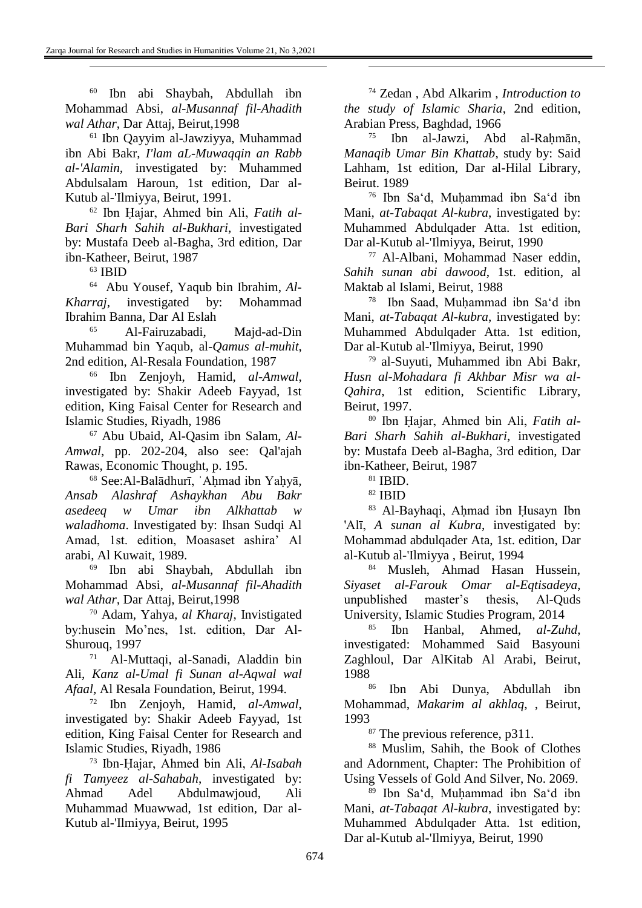<sup>60</sup> Ibn abi Shaybah, Abdullah ibn Mohammad Absi, *al-Musannaf fil-Ahadith wal Athar*, Dar Attaj, Beirut,1998

<sup>61</sup> Ibn Qayyim al-Jawziyya, Muhammad ibn Abi Bakr, *I'lam aL-Muwaqqin an Rabb al-'Alamin,* investigated by: Muhammed Abdulsalam Haroun, 1st edition, Dar al-Kutub al-'Ilmiyya, Beirut, 1991.

<sup>62</sup> Ibn Ḥajar, Ahmed bin Ali, *Fatih al-Bari Sharh Sahih al-Bukhari*, investigated by: Mustafa Deeb al-Bagha, 3rd edition, Dar ibn-Katheer, Beirut, 1987

<sup>63</sup> IBID

<u>.</u>

64 Abu Yousef, Yaqub bin Ibrahim, *Al-Kharraj*, investigated by: Mohammad Ibrahim Banna, Dar Al Eslah

<sup>65</sup> Al-Fairuzabadi, Majd-ad-Din Muhammad bin Yaqub, al*-Qamus al-muhit*, 2nd edition, Al-Resala Foundation, 1987

<sup>66</sup> Ibn Zenjoyh, Hamid, *al-Amwal*, investigated by: Shakir Adeeb Fayyad, 1st edition, King Faisal Center for Research and Islamic Studies, Riyadh, 1986

<sup>67</sup> Abu Ubaid, Al-Qasim ibn Salam, *Al-Amwal*, pp. 202-204, also see: Qal'ajah Rawas, Economic Thought, p. 195.

<sup>68</sup> See:Al-Balādhurī, ʾAḥmad ibn Yaḥyā*, Ansab Alashraf Ashaykhan Abu Bakr asedeeq w Umar ibn Alkhattab w waladhoma*. Investigated by: Ihsan Sudqi Al Amad, 1st. edition, Moasaset ashira' Al arabi, Al Kuwait, 1989.

<sup>69</sup> Ibn abi Shaybah, Abdullah ibn Mohammad Absi, *al-Musannaf fil-Ahadith wal Athar,* Dar Attaj, Beirut,1998

<sup>70</sup> Adam, Yahya, *al Kharaj*, Invistigated by:husein Mo'nes, 1st. edition, Dar Al-Shurouq, 1997

71 Al-Muttaqi, al-Sanadi, Aladdin bin Ali, *Kanz al-Umal fi Sunan al-Aqwal wal Afaal,* Al Resala Foundation, Beirut, 1994.

<sup>72</sup> Ibn Zenjoyh, Hamid, *al-Amwal*, investigated by: Shakir Adeeb Fayyad, 1st edition, King Faisal Center for Research and Islamic Studies, Riyadh, 1986

<sup>73</sup> Ibn-Ḥajar, Ahmed bin Ali, *Al-Isabah fi Tamyeez al-Sahabah*, investigated by: Ahmad Adel Abdulmawjoud, Ali Muhammad Muawwad, 1st edition, Dar al-Kutub al-'Ilmiyya, Beirut, 1995

<sup>74</sup> Zedan , Abd Alkarim , *Introduction to the study of Islamic Sharia*, 2nd edition, Arabian Press, Baghdad, 1966

<u>.</u>

 $75$  Ibn al-Jawzi, Abd al-Rahmān, *Manaqib Umar Bin Khattab*, study by: Said Lahham, 1st edition, Dar al-Hilal Library, Beirut. 1989

<sup>76</sup> Ibn Sa'd, Muḥammad ibn Sa'd ibn Mani, *at-Tabaqat Al-kubra*, investigated by: Muhammed Abdulqader Atta. 1st edition, Dar al-Kutub al-'Ilmiyya, Beirut, 1990

<sup>77</sup> Al-Albani, Mohammad Naser eddin, *Sahih sunan abi dawood*, 1st. edition, al Maktab al Islami, Beirut, 1988

78 Ibn Saad, Muḥammad ibn Sa'd ibn Mani, *at-Tabaqat Al-kubra*, investigated by: Muhammed Abdulqader Atta. 1st edition, Dar al-Kutub al-'Ilmiyya, Beirut, 1990

<sup>79</sup> al-Suyuti, Muhammed ibn Abi Bakr, *Husn al-Mohadara fi Akhbar Misr wa al-Qahira*, 1st edition, Scientific Library, Beirut, 1997.

<sup>80</sup> Ibn Ḥajar, Ahmed bin Ali, *Fatih al-Bari Sharh Sahih al-Bukhari*, investigated by: Mustafa Deeb al-Bagha, 3rd edition, Dar ibn-Katheer, Beirut, 1987

<sup>81</sup> IBID.

<sup>82</sup> IBID

<sup>83</sup> Al-Bayhaqi, Aḥmad ibn Ḥusayn Ibn 'Alī, *A sunan al Kubra*, investigated by: Mohammad abdulqader Ata, 1st. edition, Dar al-Kutub al-'Ilmiyya , Beirut, 1994

<sup>84</sup> Musleh, Ahmad Hasan Hussein, *Siyaset al-Farouk Omar al-Eqtisadeya*, unpublished master's thesis, Al-Quds University, Islamic Studies Program, 2014

<sup>85</sup> Ibn Hanbal, Ahmed, *al-Zuhd*, investigated: Mohammed Said Basyouni Zaghloul, Dar AlKitab Al Arabi, Beirut, 1988

<sup>86</sup> Ibn Abi Dunya, Abdullah ibn Mohammad, *Makarim al akhlaq*, , Beirut, 1993

<sup>87</sup> The previous reference, p311.

<sup>88</sup> Muslim, Sahih, the Book of Clothes and Adornment, Chapter: The Prohibition of Using Vessels of Gold And Silver, No. 2069.

<sup>89</sup> Ibn Sa'd, Muḥammad ibn Sa'd ibn Mani, *at-Tabaqat Al-kubra*, investigated by: Muhammed Abdulqader Atta. 1st edition, Dar al-Kutub al-'Ilmiyya, Beirut, 1990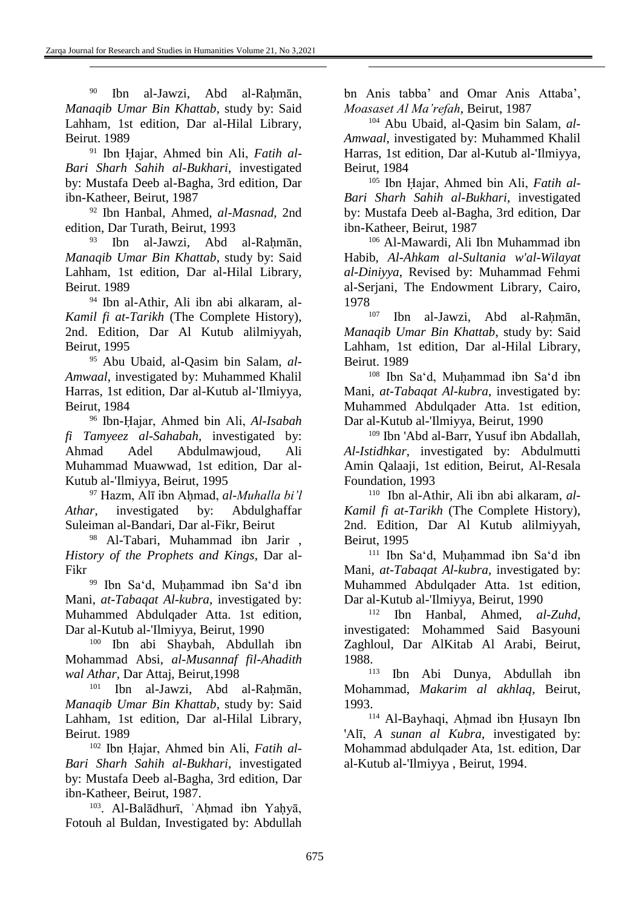<u>.</u>

<sup>90</sup> Ibn al-Jawzi, Abd al-Rahmān, *Manaqib Umar Bin Khattab*, study by: Said Lahham, 1st edition, Dar al-Hilal Library, Beirut. 1989

<sup>91</sup> Ibn Ḥajar, Ahmed bin Ali, *Fatih al-Bari Sharh Sahih al-Bukhari*, investigated by: Mustafa Deeb al-Bagha, 3rd edition, Dar ibn-Katheer, Beirut, 1987

<sup>92</sup> Ibn Hanbal, Ahmed, *al-Masnad*, 2nd edition, Dar Turath, Beirut, 1993

<sup>93</sup> Ibn al-Jawzi, Abd al-Rahmān, *Manaqib Umar Bin Khattab*, study by: Said Lahham, 1st edition, Dar al-Hilal Library, Beirut. 1989

<sup>94</sup> Ibn al-Athir, Ali ibn abi alkaram, al*-Kamil fi at-Tarikh* (The Complete History), 2nd. Edition, Dar Al Kutub alilmiyyah, Beirut, 1995

<sup>95</sup> Abu Ubaid, al-Qasim bin Salam, *al-Amwaal*, investigated by: Muhammed Khalil Harras, 1st edition, Dar al-Kutub al-'Ilmiyya, Beirut, 1984

<sup>96</sup> Ibn-Ḥajar, Ahmed bin Ali, *Al-Isabah fi Tamyeez al-Sahabah*, investigated by: Ahmad Adel Abdulmawjoud, Ali Muhammad Muawwad, 1st edition, Dar al-Kutub al-'Ilmiyya, Beirut, 1995

<sup>97</sup> Hazm, Alī ibn Ahmad, *al-Muhalla bi'l Athar*, investigated by: Abdulghaffar Suleiman al-Bandari, Dar al-Fikr, Beirut

<sup>98</sup> Al-Tabari, Muhammad ibn Jarir , *History of the Prophets and Kings*, Dar al-Fikr

<sup>99</sup> Ibn Sa'd, Muḥammad ibn Sa'd ibn Mani, *at-Tabaqat Al-kubra*, investigated by: Muhammed Abdulqader Atta. 1st edition, Dar al-Kutub al-'Ilmiyya, Beirut, 1990

<sup>100</sup> Ibn abi Shaybah, Abdullah ibn Mohammad Absi, *al-Musannaf fil-Ahadith wal Athar,* Dar Attaj, Beirut,1998

<sup>101</sup> Ibn al-Jawzi, Abd al-Raḥmān, *Manaqib Umar Bin Khattab*, study by: Said Lahham, 1st edition, Dar al-Hilal Library, Beirut. 1989

<sup>102</sup> Ibn Ḥajar, Ahmed bin Ali, *Fatih al-Bari Sharh Sahih al-Bukhari*, investigated by: Mustafa Deeb al-Bagha, 3rd edition, Dar ibn-Katheer, Beirut, 1987.

<sup>103</sup>. Al-Balādhurī, 'Ahmad ibn Yaḥyā, Fotouh al Buldan, Investigated by: Abdullah bn Anis tabba' and Omar Anis Attaba', *Moasaset Al Ma'refah*, Beirut, 1987

<u>.</u>

<sup>104</sup> Abu Ubaid, al-Qasim bin Salam, *al-Amwaal*, investigated by: Muhammed Khalil Harras, 1st edition, Dar al-Kutub al-'Ilmiyya, Beirut, 1984

<sup>105</sup> Ibn Ḥajar, Ahmed bin Ali, *Fatih al-Bari Sharh Sahih al-Bukhari*, investigated by: Mustafa Deeb al-Bagha, 3rd edition, Dar ibn-Katheer, Beirut, 1987

<sup>106</sup> Al-Mawardi, Ali Ibn Muhammad ibn Habib, *Al-Ahkam al-Sultania w'al-Wilayat al-Diniyya*, Revised by: Muhammad Fehmi al-Serjani, The Endowment Library, Cairo,  $1978$ <sub>107</sub>

<sup>107</sup> Ibn al-Jawzi, Abd al-Raḥmān, *Manaqib Umar Bin Khattab*, study by: Said Lahham, 1st edition, Dar al-Hilal Library, Beirut. 1989

<sup>108</sup> Ibn Sa'd, Muḥammad ibn Sa'd ibn Mani, *at-Tabaqat Al-kubra*, investigated by: Muhammed Abdulqader Atta. 1st edition, Dar al-Kutub al-'Ilmiyya, Beirut, 1990

<sup>109</sup> Ibn 'Abd al-Barr, Yusuf ibn Abdallah, *Al-Istidhkar*, investigated by: Abdulmutti Amin Qalaaji, 1st edition, Beirut, Al-Resala Foundation, 1993

110 Ibn al-Athir, Ali ibn abi alkaram, *al-Kamil fi at-Tarikh* (The Complete History), 2nd. Edition, Dar Al Kutub alilmiyyah, Beirut, 1995

<sup>111</sup> Ibn Sa'd, Muḥammad ibn Sa'd ibn Mani, *at-Tabaqat Al-kubra*, investigated by: Muhammed Abdulqader Atta. 1st edition, Dar al-Kutub al-'Ilmiyya, Beirut, 1990

<sup>112</sup> Ibn Hanbal, Ahmed, *al-Zuhd*, investigated: Mohammed Said Basyouni Zaghloul, Dar AlKitab Al Arabi, Beirut, 1988.

<sup>113</sup> Ibn Abi Dunya, Abdullah ibn Mohammad, *Makarim al akhlaq*, Beirut, 1993.

<sup>114</sup> Al-Bayhaqi, Aḥmad ibn Ḥusayn Ibn 'Alī, *A sunan al Kubra*, investigated by: Mohammad abdulqader Ata, 1st. edition, Dar al-Kutub al-'Ilmiyya , Beirut, 1994.